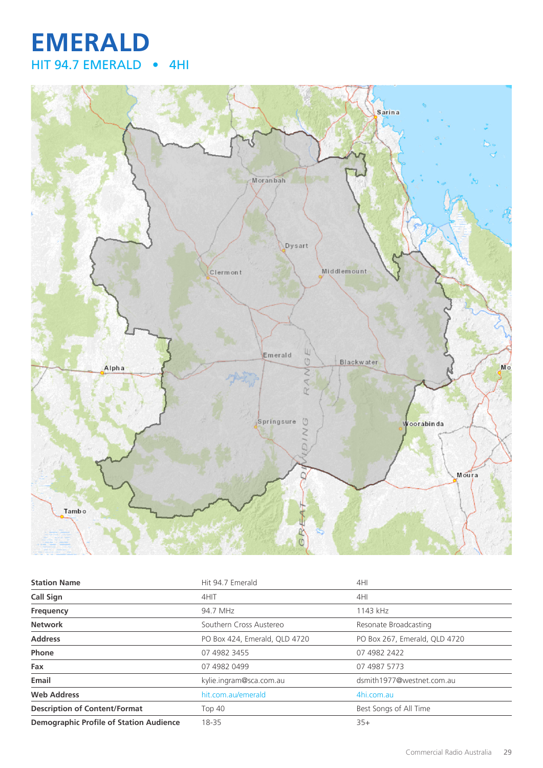# **EMERALD** HIT 94.7 EMERALD • 4HI



| <b>Station Name</b>                            | Hit 94.7 Emerald              | 4HI                           |
|------------------------------------------------|-------------------------------|-------------------------------|
| <b>Call Sign</b>                               | 4HIT                          | 4HI                           |
| Frequency                                      | 94.7 MHz                      | 1143 kHz                      |
| <b>Network</b>                                 | Southern Cross Austereo       | Resonate Broadcasting         |
| <b>Address</b>                                 | PO Box 424, Emerald, QLD 4720 | PO Box 267, Emerald, QLD 4720 |
| Phone                                          | 07 4982 3455                  | 07 4982 2422                  |
| Fax                                            | 07 4982 0499                  | 07 4987 5773                  |
| Email                                          | kylie.ingram@sca.com.au       | dsmith1977@westnet.com.au     |
| <b>Web Address</b>                             | hit.com.au/emerald            | 4hi.com.au                    |
| <b>Description of Content/Format</b>           | <b>Top 40</b>                 | Best Songs of All Time        |
| <b>Demographic Profile of Station Audience</b> | 18-35                         | $35+$                         |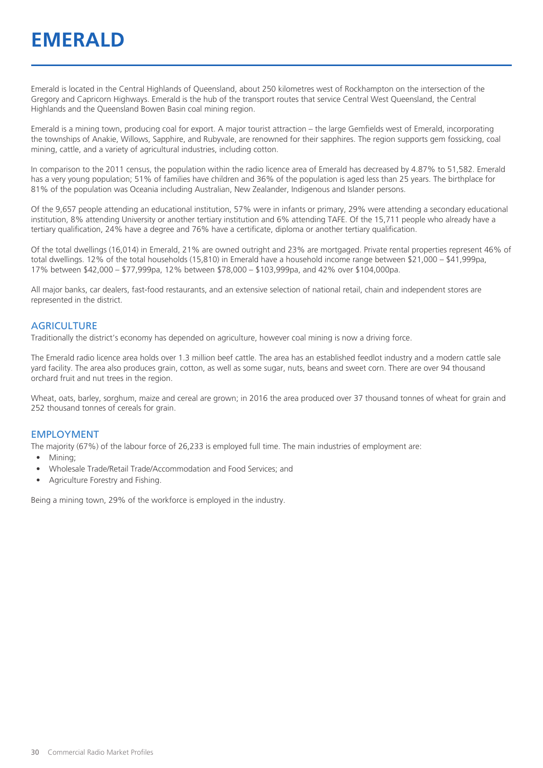Emerald is located in the Central Highlands of Queensland, about 250 kilometres west of Rockhampton on the intersection of the Gregory and Capricorn Highways. Emerald is the hub of the transport routes that service Central West Queensland, the Central Highlands and the Queensland Bowen Basin coal mining region.

Emerald is a mining town, producing coal for export. A major tourist attraction – the large Gemfields west of Emerald, incorporating the townships of Anakie, Willows, Sapphire, and Rubyvale, are renowned for their sapphires. The region supports gem fossicking, coal mining, cattle, and a variety of agricultural industries, including cotton.

In comparison to the 2011 census, the population within the radio licence area of Emerald has decreased by 4.87% to 51,582. Emerald has a very young population; 51% of families have children and 36% of the population is aged less than 25 years. The birthplace for 81% of the population was Oceania including Australian, New Zealander, Indigenous and Islander persons.

Of the 9,657 people attending an educational institution, 57% were in infants or primary, 29% were attending a secondary educational institution, 8% attending University or another tertiary institution and 6% attending TAFE. Of the 15,711 people who already have a tertiary qualification, 24% have a degree and 76% have a certificate, diploma or another tertiary qualification.

Of the total dwellings (16,014) in Emerald, 21% are owned outright and 23% are mortgaged. Private rental properties represent 46% of total dwellings. 12% of the total households (15,810) in Emerald have a household income range between \$21,000 – \$41,999pa, 17% between \$42,000 – \$77,999pa, 12% between \$78,000 – \$103,999pa, and 42% over \$104,000pa.

All major banks, car dealers, fast-food restaurants, and an extensive selection of national retail, chain and independent stores are represented in the district.

#### **AGRICULTURE**

Traditionally the district's economy has depended on agriculture, however coal mining is now a driving force.

The Emerald radio licence area holds over 1.3 million beef cattle. The area has an established feedlot industry and a modern cattle sale yard facility. The area also produces grain, cotton, as well as some sugar, nuts, beans and sweet corn. There are over 94 thousand orchard fruit and nut trees in the region.

Wheat, oats, barley, sorghum, maize and cereal are grown; in 2016 the area produced over 37 thousand tonnes of wheat for grain and 252 thousand tonnes of cereals for grain.

#### EMPLOYMENT

The majority (67%) of the labour force of 26,233 is employed full time. The main industries of employment are:

- Mining;
- Wholesale Trade/Retail Trade/Accommodation and Food Services; and
- Agriculture Forestry and Fishing.

Being a mining town, 29% of the workforce is employed in the industry.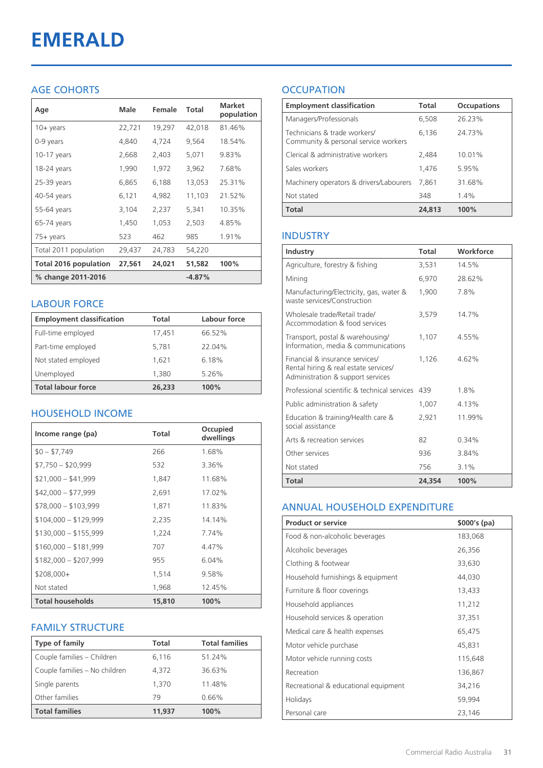# **EMERALD**

#### AGE COHORTS

| Age                   | Male   | Female | Total    | <b>Market</b><br>population |
|-----------------------|--------|--------|----------|-----------------------------|
| $10 + \gamma$ ears    | 22,721 | 19,297 | 42,018   | 81.46%                      |
| 0-9 years             | 4,840  | 4,724  | 9,564    | 18.54%                      |
| $10-17$ years         | 2,668  | 2,403  | 5,071    | 9.83%                       |
| 18-24 years           | 1,990  | 1,972  | 3,962    | 7.68%                       |
| $25-39$ years         | 6,865  | 6,188  | 13,053   | 25.31%                      |
| 40-54 years           | 6,121  | 4,982  | 11,103   | 21.52%                      |
| 55-64 years           | 3,104  | 2,237  | 5,341    | 10.35%                      |
| 65-74 years           | 1,450  | 1,053  | 2,503    | 4.85%                       |
| 75+ years             | 523    | 462    | 985      | 1.91%                       |
| Total 2011 population | 29,437 | 24,783 | 54,220   |                             |
| Total 2016 population | 27,561 | 24,021 | 51,582   | 100%                        |
| % change 2011-2016    |        |        | $-4.87%$ |                             |

#### LABOUR FORCE

| <b>Employment classification</b> | Total  | Labour force |
|----------------------------------|--------|--------------|
| Full-time employed               | 17,451 | 66.52%       |
| Part-time employed               | 5,781  | 22.04%       |
| Not stated employed              | 1,621  | 6.18%        |
| Unemployed                       | 1,380  | 5.26%        |
| <b>Total labour force</b>        | 26,233 | 100%         |

#### HOUSEHOLD INCOME

| Income range (pa)       | <b>Total</b> | Occupied<br>dwellings |
|-------------------------|--------------|-----------------------|
| $$0 - $7,749$           | 266          | 1.68%                 |
| $$7,750 - $20,999$      | 532          | 3.36%                 |
| $$21,000 - $41,999$     | 1,847        | 11.68%                |
| $$42,000 - $77,999$     | 2,691        | 17.02%                |
| $$78,000 - $103,999$    | 1,871        | 11.83%                |
| $$104,000 - $129,999$   | 2,235        | 14.14%                |
| $$130,000 - $155,999$   | 1,224        | 7.74%                 |
| $$160,000 - $181,999$   | 707          | 4.47%                 |
| $$182,000 - $207,999$   | 955          | 6.04%                 |
| $$208,000+$             | 1,514        | 9.58%                 |
| Not stated              | 1,968        | 12.45%                |
| <b>Total households</b> | 15,810       | 100%                  |

#### FAMILY STRUCTURE

| <b>Type of family</b>         | Total  | <b>Total families</b> |
|-------------------------------|--------|-----------------------|
| Couple families - Children    | 6,116  | 51.24%                |
| Couple families - No children | 4.372  | 36.63%                |
| Single parents                | 1,370  | 11.48%                |
| Other families                | 79     | 0.66%                 |
| <b>Total families</b>         | 11,937 | 100%                  |

### **OCCUPATION**

| <b>Employment classification</b>                                     | <b>Total</b> | <b>Occupations</b> |
|----------------------------------------------------------------------|--------------|--------------------|
| Managers/Professionals                                               | 6,508        | 26.23%             |
| Technicians & trade workers/<br>Community & personal service workers | 6,136        | 24.73%             |
| Clerical & administrative workers                                    | 2,484        | 10.01%             |
| Sales workers                                                        | 1,476        | 5.95%              |
| Machinery operators & drivers/Labourers                              | 7.861        | 31.68%             |
| Not stated                                                           | 348          | $1.4\%$            |
| <b>Total</b>                                                         | 24,813       | 100%               |

#### INDUSTRY

| Industry                                                                                                      | Total  | Workforce |
|---------------------------------------------------------------------------------------------------------------|--------|-----------|
| Agriculture, forestry & fishing                                                                               | 3,531  | 14.5%     |
| Mining                                                                                                        | 6,970  | 28.62%    |
| Manufacturing/Electricity, gas, water &<br>waste services/Construction                                        | 1,900  | 7.8%      |
| Wholesale trade/Retail trade/<br>Accommodation & food services                                                | 3,579  | 14.7%     |
| Transport, postal & warehousing/<br>Information, media & communications                                       | 1,107  | 4.55%     |
| Financial & insurance services/<br>Rental hiring & real estate services/<br>Administration & support services | 1.126  | 4.62%     |
| Professional scientific & technical services                                                                  | 439    | $1.8\%$   |
| Public administration & safety                                                                                | 1,007  | 4.13%     |
| Education & training/Health care &<br>social assistance                                                       | 2,921  | 11.99%    |
| Arts & recreation services                                                                                    | 82     | 0.34%     |
| Other services                                                                                                | 936    | 3.84%     |
| Not stated                                                                                                    | 756    | $3.1\%$   |
| Total                                                                                                         | 24,354 | 100%      |

#### ANNUAL HOUSEHOLD EXPENDITURE

| <b>Product or service</b>            | $$000's$ (pa) |
|--------------------------------------|---------------|
| Food & non-alcoholic beverages       | 183,068       |
| Alcoholic beverages                  | 26,356        |
| Clothing & footwear                  | 33,630        |
| Household furnishings & equipment    | 44,030        |
| Furniture & floor coverings          | 13,433        |
| Household appliances                 | 11,212        |
| Household services & operation       | 37,351        |
| Medical care & health expenses       | 65,475        |
| Motor vehicle purchase               | 45,831        |
| Motor vehicle running costs          | 115,648       |
| Recreation                           | 136,867       |
| Recreational & educational equipment | 34,216        |
| Holidays                             | 59,994        |
| Personal care                        | 23,146        |